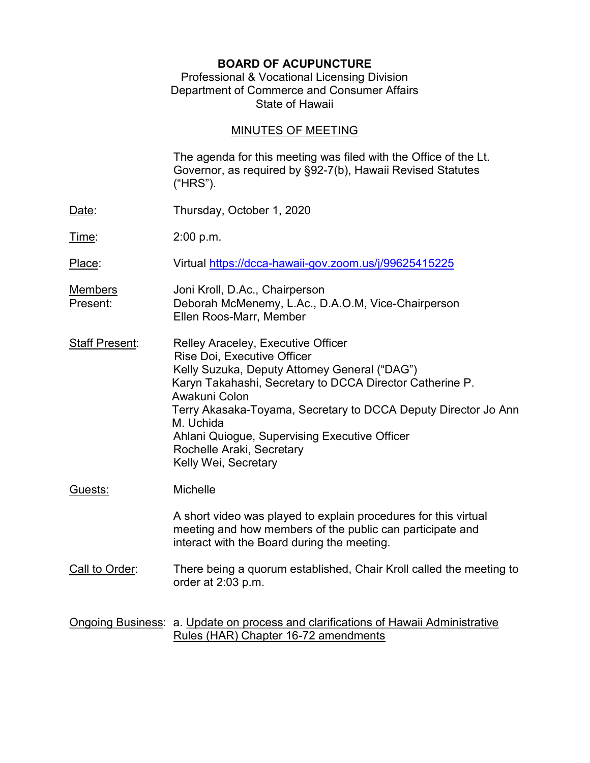# BOARD OF ACUPUNCTURE

## Professional & Vocational Licensing Division Department of Commerce and Consumer Affairs State of Hawaii

# MINUTES OF MEETING

|                            | The agenda for this meeting was filed with the Office of the Lt.<br>Governor, as required by §92-7(b), Hawaii Revised Statutes<br>("HRS").                                                                                                                                                                                                                                           |
|----------------------------|--------------------------------------------------------------------------------------------------------------------------------------------------------------------------------------------------------------------------------------------------------------------------------------------------------------------------------------------------------------------------------------|
| Date:                      | Thursday, October 1, 2020                                                                                                                                                                                                                                                                                                                                                            |
| <u>Time:</u>               | 2:00 p.m.                                                                                                                                                                                                                                                                                                                                                                            |
| Place:                     | Virtual https://dcca-hawaii-gov.zoom.us/j/99625415225                                                                                                                                                                                                                                                                                                                                |
| <b>Members</b><br>Present: | Joni Kroll, D.Ac., Chairperson<br>Deborah McMenemy, L.Ac., D.A.O.M, Vice-Chairperson<br>Ellen Roos-Marr, Member                                                                                                                                                                                                                                                                      |
| <b>Staff Present:</b>      | Relley Araceley, Executive Officer<br>Rise Doi, Executive Officer<br>Kelly Suzuka, Deputy Attorney General ("DAG")<br>Karyn Takahashi, Secretary to DCCA Director Catherine P.<br>Awakuni Colon<br>Terry Akasaka-Toyama, Secretary to DCCA Deputy Director Jo Ann<br>M. Uchida<br>Ahlani Quiogue, Supervising Executive Officer<br>Rochelle Araki, Secretary<br>Kelly Wei, Secretary |
| Guests:                    | Michelle<br>A short video was played to explain procedures for this virtual<br>meeting and how members of the public can participate and                                                                                                                                                                                                                                             |
|                            | interact with the Board during the meeting.                                                                                                                                                                                                                                                                                                                                          |
| Call to Order:             | There being a quorum established, Chair Kroll called the meeting to<br>order at 2:03 p.m.                                                                                                                                                                                                                                                                                            |
|                            | Ongoing Business: a. Update on process and clarifications of Hawaii Administrative<br>Rules (HAR) Chapter 16-72 amendments                                                                                                                                                                                                                                                           |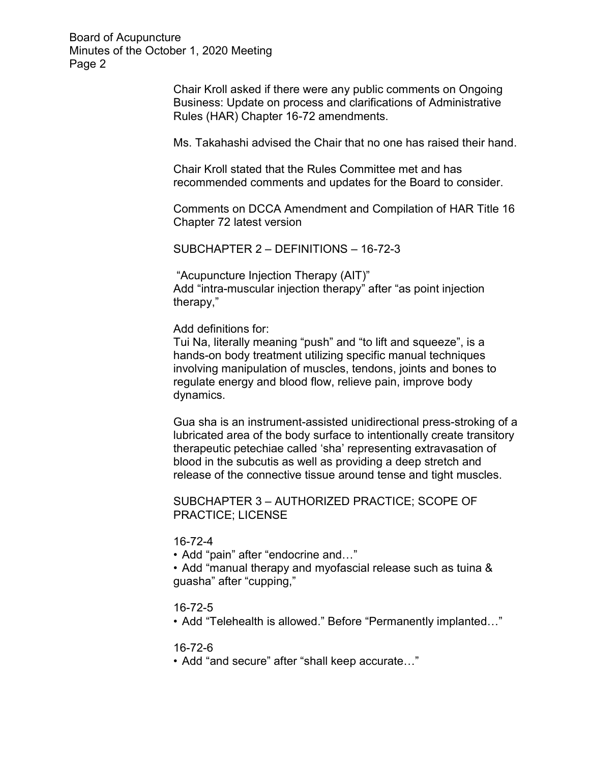> Chair Kroll asked if there were any public comments on Ongoing Business: Update on process and clarifications of Administrative Rules (HAR) Chapter 16-72 amendments.

Ms. Takahashi advised the Chair that no one has raised their hand.

Chair Kroll stated that the Rules Committee met and has recommended comments and updates for the Board to consider.

 Comments on DCCA Amendment and Compilation of HAR Title 16 Chapter 72 latest version

SUBCHAPTER 2 – DEFINITIONS – 16-72-3

 "Acupuncture Injection Therapy (AIT)" Add "intra-muscular injection therapy" after "as point injection therapy,"

Add definitions for:

 Tui Na, literally meaning "push" and "to lift and squeeze", is a hands-on body treatment utilizing specific manual techniques involving manipulation of muscles, tendons, joints and bones to regulate energy and blood flow, relieve pain, improve body dynamics.

 Gua sha is an instrument-assisted unidirectional press-stroking of a lubricated area of the body surface to intentionally create transitory therapeutic petechiae called 'sha' representing extravasation of blood in the subcutis as well as providing a deep stretch and release of the connective tissue around tense and tight muscles.

 SUBCHAPTER 3 – AUTHORIZED PRACTICE; SCOPE OF PRACTICE; LICENSE

16-72-4

• Add "pain" after "endocrine and…"

 • Add "manual therapy and myofascial release such as tuina & guasha" after "cupping,"

## 16-72-5

• Add "Telehealth is allowed." Before "Permanently implanted…"

#### 16-72-6

• Add "and secure" after "shall keep accurate…"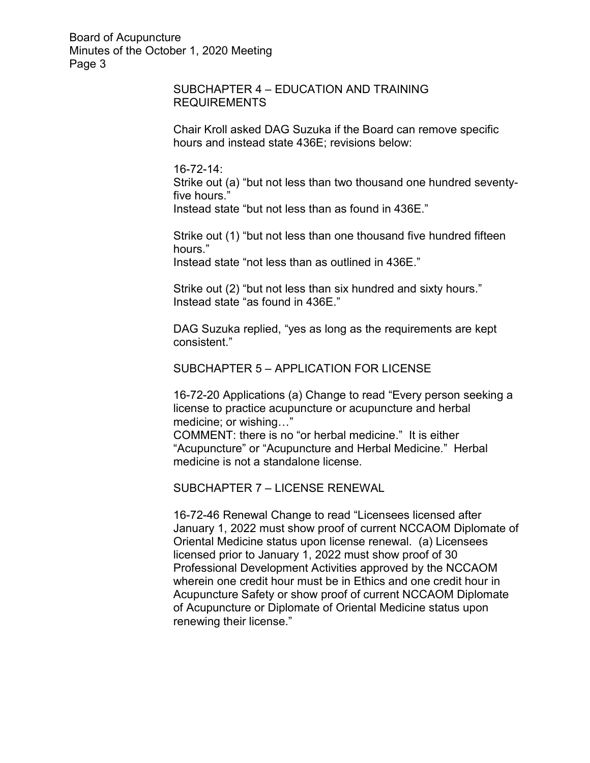## SUBCHAPTER 4 – EDUCATION AND TRAINING REQUIREMENTS

 Chair Kroll asked DAG Suzuka if the Board can remove specific hours and instead state 436E; revisions below:

16-72-14:

 Strike out (a) "but not less than two thousand one hundred seventyfive hours."

Instead state "but not less than as found in 436E."

 Strike out (1) "but not less than one thousand five hundred fifteen hours."

Instead state "not less than as outlined in 436E."

 Strike out (2) "but not less than six hundred and sixty hours." Instead state "as found in 436E."

 DAG Suzuka replied, "yes as long as the requirements are kept consistent."

## SUBCHAPTER 5 – APPLICATION FOR LICENSE

 16-72-20 Applications (a) Change to read "Every person seeking a license to practice acupuncture or acupuncture and herbal medicine; or wishing…"

 COMMENT: there is no "or herbal medicine." It is either "Acupuncture" or "Acupuncture and Herbal Medicine." Herbal medicine is not a standalone license.

SUBCHAPTER 7 – LICENSE RENEWAL

 16-72-46 Renewal Change to read "Licensees licensed after January 1, 2022 must show proof of current NCCAOM Diplomate of Oriental Medicine status upon license renewal. (a) Licensees licensed prior to January 1, 2022 must show proof of 30 Professional Development Activities approved by the NCCAOM wherein one credit hour must be in Ethics and one credit hour in Acupuncture Safety or show proof of current NCCAOM Diplomate of Acupuncture or Diplomate of Oriental Medicine status upon renewing their license."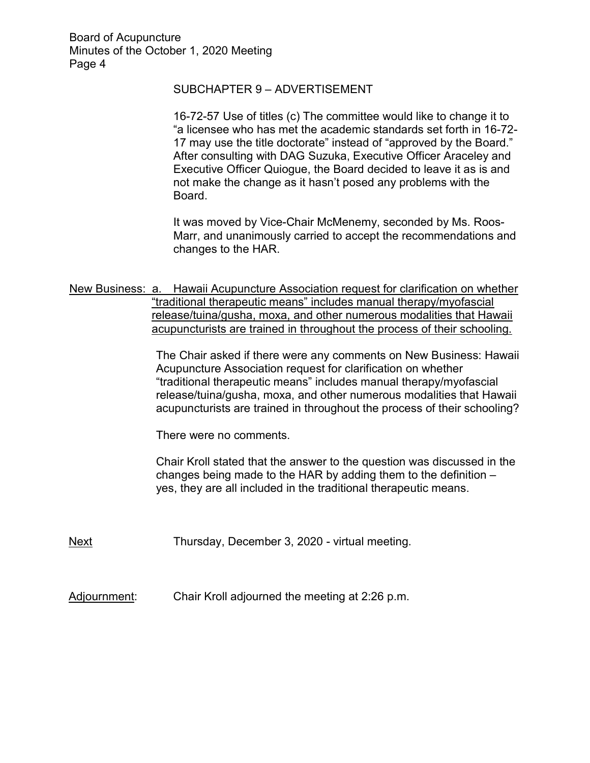## SUBCHAPTER 9 – ADVERTISEMENT

 16-72-57 Use of titles (c) The committee would like to change it to "a licensee who has met the academic standards set forth in 16-72- 17 may use the title doctorate" instead of "approved by the Board." After consulting with DAG Suzuka, Executive Officer Araceley and Executive Officer Quiogue, the Board decided to leave it as is and not make the change as it hasn't posed any problems with the Board.

It was moved by Vice-Chair McMenemy, seconded by Ms. Roos-Marr, and unanimously carried to accept the recommendations and changes to the HAR.

New Business: a. Hawaii Acupuncture Association request for clarification on whether "traditional therapeutic means" includes manual therapy/myofascial release/tuina/gusha, moxa, and other numerous modalities that Hawaii acupuncturists are trained in throughout the process of their schooling.

> The Chair asked if there were any comments on New Business: Hawaii Acupuncture Association request for clarification on whether "traditional therapeutic means" includes manual therapy/myofascial release/tuina/gusha, moxa, and other numerous modalities that Hawaii acupuncturists are trained in throughout the process of their schooling?

There were no comments.

Chair Kroll stated that the answer to the question was discussed in the changes being made to the HAR by adding them to the definition – yes, they are all included in the traditional therapeutic means.

Next Thursday, December 3, 2020 - virtual meeting.

Adjournment: Chair Kroll adjourned the meeting at 2:26 p.m.